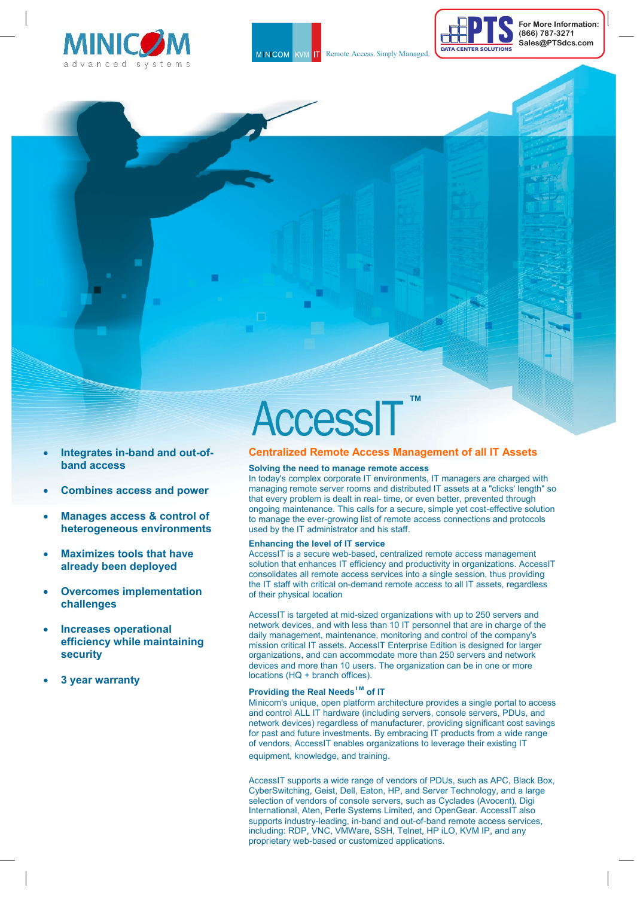





**For More Information: (866) 787-3271 Sales@PTSdcs.com**



- **Integrates in-band and out-ofband access**
- **Combines access and power**
- **Manages access & control of heterogeneous environments**
- **Maximizes tools that have already been deployed**
- **Overcomes implementation challenges**
- **Increases operational efficiency while maintaining security**
- **3 year warranty**

# AccessIT **™**

## **Centralized Remote Access Management of all IT Assets**

## **Solving the need to manage remote access**

In today's complex corporate IT environments, IT managers are charged with managing remote server rooms and distributed IT assets at a "clicks' length" so that every problem is dealt in real- time, or even better, prevented through ongoing maintenance. This calls for a secure, simple yet cost-effective solution to manage the ever-growing list of remote access connections and protocols used by the IT administrator and his staff.

#### **Enhancing the level of IT service**

AccessIT is a secure web-based, centralized remote access management solution that enhances IT efficiency and productivity in organizations. AccessIT consolidates all remote access services into a single session, thus providing the IT staff with critical on-demand remote access to all IT assets, regardless of their physical location

AccessIT is targeted at mid-sized organizations with up to 250 servers and network devices, and with less than 10 IT personnel that are in charge of the daily management, maintenance, monitoring and control of the company's mission critical IT assets. AccessIT Enterprise Edition is designed for larger organizations, and can accommodate more than 250 servers and network devices and more than 10 users. The organization can be in one or more locations (HQ + branch offices).

# **Providing the Real NeedsTM of IT**

Minicom's unique, open platform architecture provides a single portal to access and control ALL IT hardware (including servers, console servers, PDUs, and network devices) regardless of manufacturer, providing significant cost savings for past and future investments. By embracing IT products from a wide range of vendors, AccessIT enables organizations to leverage their existing IT equipment, knowledge, and training.

AccessIT supports a wide range of vendors of PDUs, such as APC, Black Box, CyberSwitching, Geist, Dell, Eaton, HP, and Server Technology, and a large selection of vendors of console servers, such as Cyclades (Avocent), Digi International, Aten, Perle Systems Limited, and OpenGear. AccessIT also supports industry-leading, in-band and out-of-band remote access services, including: RDP, VNC, VMWare, SSH, Telnet, HP iLO, KVM IP, and any proprietary web-based or customized applications.